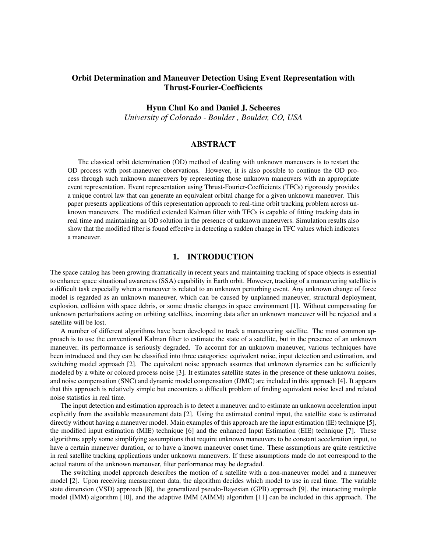# Orbit Determination and Maneuver Detection Using Event Representation with Thrust-Fourier-Coefficients

### Hyun Chul Ko and Daniel J. Scheeres

*University of Colorado - Boulder , Boulder, CO, USA*

### ABSTRACT

The classical orbit determination (OD) method of dealing with unknown maneuvers is to restart the OD process with post-maneuver observations. However, it is also possible to continue the OD process through such unknown maneuvers by representing those unknown maneuvers with an appropriate event representation. Event representation using Thrust-Fourier-Coefficients (TFCs) rigorously provides a unique control law that can generate an equivalent orbital change for a given unknown maneuver. This paper presents applications of this representation approach to real-time orbit tracking problem across unknown maneuvers. The modified extended Kalman filter with TFCs is capable of fitting tracking data in real time and maintaining an OD solution in the presence of unknown maneuvers. Simulation results also show that the modified filter is found effective in detecting a sudden change in TFC values which indicates a maneuver.

### 1. INTRODUCTION

The space catalog has been growing dramatically in recent years and maintaining tracking of space objects is essential to enhance space situational awareness (SSA) capability in Earth orbit. However, tracking of a maneuvering satellite is a difficult task especially when a maneuver is related to an unknown perturbing event. Any unknown change of force model is regarded as an unknown maneuver, which can be caused by unplanned maneuver, structural deployment, explosion, collision with space debris, or some drastic changes in space environment [\[1\]](#page-7-0). Without compensating for unknown perturbations acting on orbiting satellites, incoming data after an unknown maneuver will be rejected and a satellite will be lost.

A number of different algorithms have been developed to track a maneuvering satellite. The most common approach is to use the conventional Kalman filter to estimate the state of a satellite, but in the presence of an unknown maneuver, its performance is seriously degraded. To account for an unknown maneuver, various techniques have been introduced and they can be classified into three categories: equivalent noise, input detection and estimation, and switching model approach [\[2\]](#page-7-1). The equivalent noise approach assumes that unknown dynamics can be sufficiently modeled by a white or colored process noise [\[3\]](#page-7-2). It estimates satellite states in the presence of these unknown noises, and noise compensation (SNC) and dynamic model compensation (DMC) are included in this approach [\[4\]](#page-7-3). It appears that this approach is relatively simple but encounters a difficult problem of finding equivalent noise level and related noise statistics in real time.

The input detection and estimation approach is to detect a maneuver and to estimate an unknown acceleration input explicitly from the available measurement data [\[2\]](#page-7-1). Using the estimated control input, the satellite state is estimated directly without having a maneuver model. Main examples of this approach are the input estimation (IE) technique [\[5\]](#page-7-4), the modified input estimation (MIE) technique [\[6\]](#page-7-5) and the enhanced Input Estimation (EIE) technique [\[7\]](#page-7-6). These algorithms apply some simplifying assumptions that require unknown maneuvers to be constant acceleration input, to have a certain maneuver duration, or to have a known maneuver onset time. These assumptions are quite restrictive in real satellite tracking applications under unknown maneuvers. If these assumptions made do not correspond to the actual nature of the unknown maneuver, filter performance may be degraded.

The switching model approach describes the motion of a satellite with a non-maneuver model and a maneuver model [\[2\]](#page-7-1). Upon receiving measurement data, the algorithm decides which model to use in real time. The variable state dimension (VSD) approach [\[8\]](#page-7-7), the generalized pseudo-Bayesian (GPB) approach [\[9\]](#page-7-8), the interacting multiple model (IMM) algorithm [\[10\]](#page-7-9), and the adaptive IMM (AIMM) algorithm [\[11\]](#page-7-10) can be included in this approach. The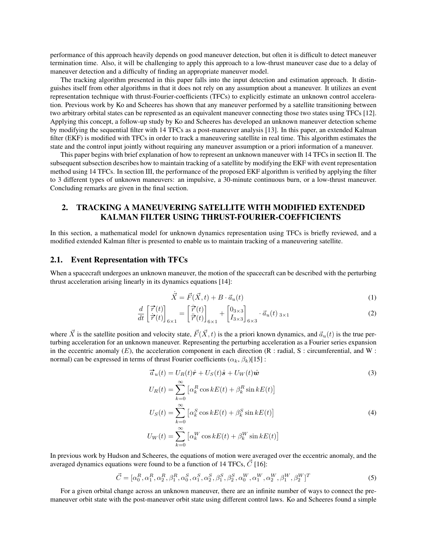performance of this approach heavily depends on good maneuver detection, but often it is difficult to detect maneuver termination time. Also, it will be challenging to apply this approach to a low-thrust maneuver case due to a delay of maneuver detection and a difficulty of finding an appropriate maneuver model.

The tracking algorithm presented in this paper falls into the input detection and estimation approach. It distinguishes itself from other algorithms in that it does not rely on any assumption about a maneuver. It utilizes an event representation technique with thrust-Fourier-coefficients (TFCs) to explicitly estimate an unknown control acceleration. Previous work by Ko and Scheeres has shown that any maneuver performed by a satellite transitioning between two arbitrary orbital states can be represented as an equivalent maneuver connecting those two states using TFCs [\[12\]](#page-7-11). Applying this concept, a follow-up study by Ko and Scheeres has developed an unknown maneuver detection scheme by modifying the sequential filter with 14 TFCs as a post-maneuver analysis [\[13\]](#page-7-12). In this paper, an extended Kalman filter (EKF) is modified with TFCs in order to track a maneuvering satellite in real time. This algorithm estimates the state and the control input jointly without requiring any maneuver assumption or a priori information of a maneuver.

This paper begins with brief explanation of how to represent an unknown maneuver with 14 TFCs in section II. The subsequent subsection describes how to maintain tracking of a satellite by modifying the EKF with event representation method using 14 TFCs. In section III, the performance of the proposed EKF algorithm is verified by applying the filter to 3 different types of unknown maneuvers: an impulsive, a 30-minute continuous burn, or a low-thrust maneuver. Concluding remarks are given in the final section.

# 2. TRACKING A MANEUVERING SATELLITE WITH MODIFIED EXTENDED KALMAN FILTER USING THRUST-FOURIER-COEFFICIENTS

In this section, a mathematical model for unknown dynamics representation using TFCs is briefly reviewed, and a modified extended Kalman filter is presented to enable us to maintain tracking of a maneuvering satellite.

#### 2.1. Event Representation with TFCs

When a spacecraft undergoes an unknown maneuver, the motion of the spacecraft can be described with the perturbing thrust acceleration arising linearly in its dynamics equations [\[14\]](#page-7-13):

<span id="page-1-0"></span>
$$
\dot{\vec{X}} = \vec{F}(\vec{X}, t) + B \cdot \vec{a}_u(t) \tag{1}
$$

$$
\frac{d}{dt} \begin{bmatrix} \vec{r}(t) \\ \dot{\vec{r}}(t) \end{bmatrix}_{6 \times 1} = \begin{bmatrix} \dot{\vec{r}}(t) \\ \ddot{\vec{r}}(t) \end{bmatrix}_{6 \times 1} + \begin{bmatrix} 0_{3 \times 3} \\ I_{3 \times 3} \end{bmatrix}_{6 \times 3} \cdot \vec{a}_u(t)_{3 \times 1}
$$
\n(2)

where  $\vec{X}$  is the satellite position and velocity state,  $\vec{F}(\vec{X}, t)$  is the a priori known dynamics, and  $\vec{a}_u(t)$  is the true perturbing acceleration for an unknown maneuver. Representing the perturbing acceleration as a Fourier series expansion in the eccentric anomaly  $(E)$ , the acceleration component in each direction  $(R : \text{radial}, S : \text{circumferential}, \text{and } W :$ normal) can be expressed in terms of thrust Fourier coefficients ( $\alpha_k$ ,  $\beta_k$ )[\[15\]](#page-7-14) :

$$
\vec{a}_u(t) = U_R(t)\hat{\mathbf{r}} + U_S(t)\hat{\mathbf{s}} + U_W(t)\hat{\mathbf{w}}
$$
\n
$$
U_R(t) = \sum_{k=0}^{\infty} \left[ \alpha_k^R \cos kE(t) + \beta_k^R \sin kE(t) \right]
$$
\n
$$
U_S(t) = \sum_{k=0}^{\infty} \left[ \alpha_k^S \cos kE(t) + \beta_k^S \sin kE(t) \right]
$$
\n
$$
U_W(t) = \sum_{k=0}^{\infty} \left[ \alpha_k^W \cos kE(t) + \beta_k^W \sin kE(t) \right]
$$
\n(4)

In previous work by Hudson and Scheeres, the equations of motion were averaged over the eccentric anomaly, and the averaged dynamics equations were found to be a function of 14 TFCs,  $\vec{C}$  [\[16\]](#page-7-15):

$$
\vec{C} = [\alpha_0^R, \alpha_1^R, \alpha_2^R, \beta_1^R, \alpha_0^S, \alpha_1^S, \alpha_2^S, \beta_1^S, \beta_2^S, \alpha_0^W, \alpha_1^W, \alpha_2^W, \beta_1^W, \beta_2^W]^T
$$
(5)

For a given orbital change across an unknown maneuver, there are an infinite number of ways to connect the premaneuver orbit state with the post-maneuver orbit state using different control laws. Ko and Scheeres found a simple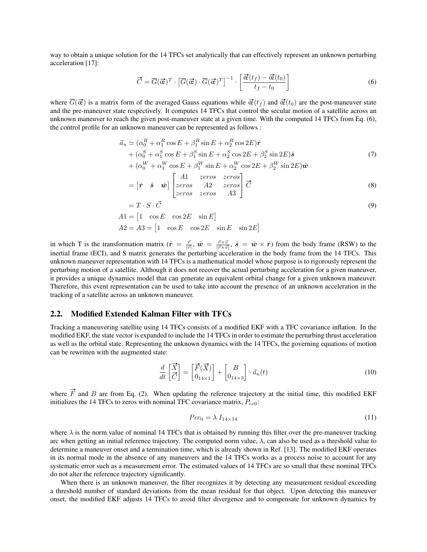way to obtain a unique solution for the 14 TFCs set analytically that can effectively represent an unknown perturbing acceleration [\[17\]](#page-7-16):

<span id="page-2-0"></span>
$$
\vec{C} = \overline{G}(\vec{\mathbf{\alpha}})^T \cdot \left[ \overline{G}(\vec{\mathbf{\alpha}}) \cdot \overline{G}(\vec{\mathbf{\alpha}})^T \right]^{-1} \cdot \left[ \frac{\vec{\mathbf{\alpha}}(t_f) - \vec{\mathbf{\alpha}}(t_0)}{t_f - t_0} \right]
$$
(6)

where  $\overline{G}(\vec{\alpha})$  is a matrix form of the averaged Gauss equations while  $\vec{\alpha}(t_f)$  and  $\vec{\alpha}(t_0)$  are the post-maneuver state and the pre-maneuver state respectively. It computes 14 TFCs that control the secular motion of a satellite across an unknown maneuver to reach the given post-maneuver state at a given time. With the computed 14 TFCs from Eq. [\(6\)](#page-2-0), the control profile for an unknown maneuver can be represented as follows :

$$
\vec{a}_u \simeq (\alpha_0^R + \alpha_1^R \cos E + \beta_1^R \sin E + \alpha_2^R \cos 2E)\hat{r} \n+ (\alpha_0^S + \alpha_1^S \cos E + \beta_1^S \sin E + \alpha_2^S \cos 2E + \beta_2^S \sin 2E)\hat{s} \n+ (\alpha_0^W + \alpha_1^W \cos E + \beta_1^W \sin E + \alpha_2^W \cos 2E + \beta_2^W \sin 2E)\hat{w}
$$
\n(7)

$$
= \begin{bmatrix} \hat{\mathbf{r}} & \hat{\mathbf{s}} & \hat{\mathbf{w}} \end{bmatrix} \begin{bmatrix} A1 & zeros & zeros & zeros \\ zeros & A2 & zeros & A3 \end{bmatrix} \vec{C} \tag{8}
$$

$$
= T \cdot S \cdot \vec{C}
$$
  
\n
$$
A1 = \begin{bmatrix} 1 & \cos E & \cos 2E & \sin E \end{bmatrix}
$$
  
\n
$$
A2 = A3 = \begin{bmatrix} 1 & \cos E & \cos 2E & \sin E & \sin 2E \end{bmatrix}
$$
 (9)

in which T is the transformation matrix  $(\hat{r} = \frac{\vec{r}}{|\vec{r}|}, \hat{w} = \frac{\vec{r} \times \vec{v}}{|\vec{r} \times \vec{v}|}, \hat{s} = \hat{w} \times \hat{r})$  from the body frame (RSW) to the inertial frame (ECI), and S matrix generates the perturbing acceleration in the body frame from the 14 TFCs. This unknown maneuver representation with 14 TFCs is a mathematical model whose purpose is to rigorously represent the perturbing motion of a satellite. Although it does not recover the actual perturbing acceleration for a given maneuver, it provides a unique dynamics model that can generate an equivalent orbital change for a given unknown maneuver. Therefore, this event representation can be used to take into account the presence of an unknown acceleration in the tracking of a satellite across an unknown maneuver.

#### 2.2. Modified Extended Kalman Filter with TFCs

Tracking a maneuvering satellite using 14 TFCs consists of a modified EKF with a TFC covariance inflation. In the modified EKF, the state vector is expanded to include the 14 TFCs in order to estimate the perturbing thrust acceleration as well as the orbital state. Representing the unknown dynamics with the 14 TFCs, the governing equations of motion can be rewritten with the augmented state:

$$
\frac{d}{dt}\begin{bmatrix} \vec{X} \\ \vec{C} \end{bmatrix} = \begin{bmatrix} \vec{F}(\vec{X}) \\ 0_{14 \times 1} \end{bmatrix} + \begin{bmatrix} B \\ 0_{14 \times 3} \end{bmatrix} \cdot \vec{a}_u(t)
$$
\n(10)

where  $\vec{F}$  and B are from Eq. [\(2\)](#page-1-0). When updating the reference trajectory at the initial time, this modified EKF initializes the 14 TFCs to zeros with nominal TFC covariance matrix,  $P_{cc0}$ :

$$
Pcc_0 = \lambda I_{14 \times 14} \tag{11}
$$

where  $\lambda$  is the norm value of nominal 14 TFCs that is obtained by running this filter over the pre-maneuver tracking arc when getting an initial reference trajectory. The computed norm value,  $\lambda$ , can also be used as a threshold value to determine a maneuver onset and a termination time, which is already shown in Ref. [\[13\]](#page-7-12). The modified EKF operates in its normal mode in the absence of any maneuvers and the 14 TFCs works as a process noise to account for any systematic error such as a measurement error. The estimated values of 14 TFCs are so small that these nominal TFCs do not alter the reference trajectory significantly.

When there is an unknown maneuver, the filter recognizes it by detecting any measurement residual exceeding a threshold number of standard deviations from the mean residual for that object. Upon detecting this maneuver onset, the modified EKF adjusts 14 TFCs to avoid filter divergence and to compensate for unknown dynamics by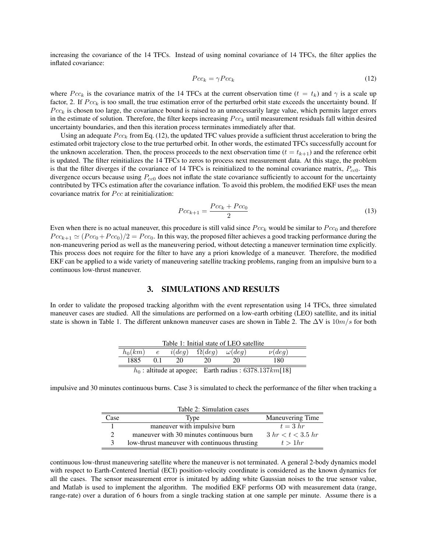increasing the covariance of the 14 TFCs. Instead of using nominal covariance of 14 TFCs, the filter applies the inflated covariance:

<span id="page-3-0"></span>
$$
Pcc_k = \gamma Pcc_k \tag{12}
$$

where  $Pcc_k$  is the covariance matrix of the 14 TFCs at the current observation time ( $t = t_k$ ) and  $\gamma$  is a scale up factor, 2. If  $Pcc_k$  is too small, the true estimation error of the perturbed orbit state exceeds the uncertainty bound. If  $Pcc_k$  is chosen too large, the covariance bound is raised to an unnecessarily large value, which permits larger errors in the estimate of solution. Therefore, the filter keeps increasing  $Pcc_k$  until measurement residuals fall within desired uncertainty boundaries, and then this iteration process terminates immediately after that.

Using an adequate  $Pcc_k$  from Eq. [\(12\)](#page-3-0), the updated TFC values provide a sufficient thrust acceleration to bring the estimated orbit trajectory close to the true perturbed orbit. In other words, the estimated TFCs successfully account for the unknown acceleration. Then, the process proceeds to the next observation time ( $t = t_{k+1}$ ) and the reference orbit is updated. The filter reinitializes the 14 TFCs to zeros to process next measurement data. At this stage, the problem is that the filter diverges if the covariance of 14 TFCs is reinitialized to the nominal covariance matrix,  $P_{cc0}$ . This divergence occurs because using  $P_{cc0}$  does not inflate the state covariance sufficiently to account for the uncertainty contributed by TFCs estimation after the covariance inflation. To avoid this problem, the modified EKF uses the mean covariance matrix for  $Pcc$  at reinitialization:

$$
Pcc_{k+1} = \frac{Pcc_k + Pcc_0}{2} \tag{13}
$$

Even when there is no actual maneuver, this procedure is still valid since  $Pcc_k$  would be similar to  $Pcc_0$  and therefore  $Pcc_{k+1} \simeq (Pcc_0 + Pcc_0)/2 = Pcc_0$ . In this way, the proposed filter achieves a good tracking performance during the non-maneuvering period as well as the maneuvering period, without detecting a maneuver termination time explicitly. This process does not require for the filter to have any a priori knowledge of a maneuver. Therefore, the modified EKF can be applied to a wide variety of maneuvering satellite tracking problems, ranging from an impulsive burn to a continuous low-thrust maneuver.

### <span id="page-3-1"></span>3. SIMULATIONS AND RESULTS

In order to validate the proposed tracking algorithm with the event representation using 14 TFCs, three simulated maneuver cases are studied. All the simulations are performed on a low-earth orbiting (LEO) satellite, and its initial state is shown in Table [1.](#page-3-1) The different unknown maneuver cases are shown in Table [2.](#page-3-2) The  $\Delta V$  is  $10m/s$  for both

| Table 1: Initial state of LEO satellite |                |        |                                 |                                                              |             |  |  |
|-----------------------------------------|----------------|--------|---------------------------------|--------------------------------------------------------------|-------------|--|--|
| $h_0(km)$                               | e              | i(deq) | $\Omega(deq) \quad \omega(deq)$ |                                                              | $\nu (deg)$ |  |  |
| 1885                                    | 0 <sup>1</sup> | 20     | 20                              | 20.                                                          | 180         |  |  |
|                                         |                |        |                                 | $h_0$ : altitude at apogee; Earth radius : 6378.137 $km[18]$ |             |  |  |

impulsive and 30 minutes continuous burns. Case 3 is simulated to check the performance of the filter when tracking a

<span id="page-3-2"></span>

| Table 2: Simulation cases |                                               |                         |  |  |  |  |
|---------------------------|-----------------------------------------------|-------------------------|--|--|--|--|
| Case                      | Type                                          | Maneuvering Time        |  |  |  |  |
|                           | maneuver with impulsive burn                  | $t=3 hr$                |  |  |  |  |
|                           | maneuver with 30 minutes continuous burn      | $3 \ hr < t < 3.5 \ hr$ |  |  |  |  |
| $\mathbf{z}$              | low-thrust maneuver with continuous thrusting | $t > 1$ <i>hr</i>       |  |  |  |  |

continuous low-thrust maneuvering satellite where the maneuver is not terminated. A general 2-body dynamics model with respect to Earth-Centered Inertial (ECI) position-velocity coordinate is considered as the known dynamics for all the cases. The sensor measurement error is imitated by adding white Gaussian noises to the true sensor value, and Matlab is used to implement the algorithm. The modified EKF performs OD with measurement data (range, range-rate) over a duration of 6 hours from a single tracking station at one sample per minute. Assume there is a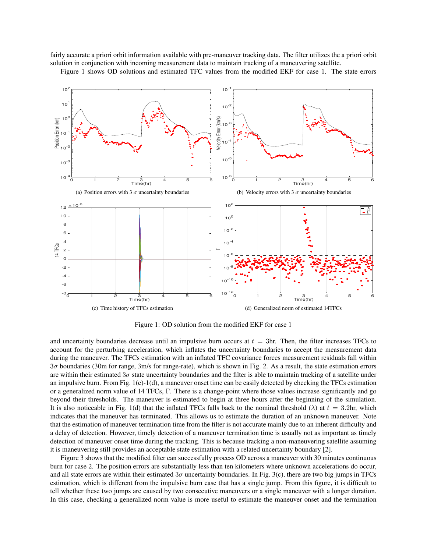fairly accurate a priori orbit information available with pre-maneuver tracking data. The filter utilizes the a priori orbit solution in conjunction with incoming measurement data to maintain tracking of a maneuvering satellite.

Figure [1](#page-4-0) shows OD solutions and estimated TFC values from the modified EKF for case 1. The state errors



<span id="page-4-2"></span><span id="page-4-0"></span>Figure 1: OD solution from the modified EKF for case 1

<span id="page-4-1"></span>and uncertainty boundaries decrease until an impulsive burn occurs at  $t = 3$ hr. Then, the filter increases TFCs to account for the perturbing acceleration, which inflates the uncertainty boundaries to accept the measurement data during the maneuver. The TFCs estimation with an inflated TFC covariance forces measurement residuals fall within 3σ boundaries (30m for range, 3m/s for range-rate), which is shown in Fig. [2.](#page-5-0) As a result, the state estimation errors are within their estimated  $3\sigma$  state uncertainty boundaries and the filter is able to maintain tracking of a satellite under an impulsive burn. From Fig. [1\(c\)](#page-4-1)[-1\(d\),](#page-4-2) a maneuver onset time can be easily detected by checking the TFCs estimation or a generalized norm value of 14 TFCs, Γ. There is a change-point where those values increase significantly and go beyond their thresholds. The maneuver is estimated to begin at three hours after the beginning of the simulation. It is also noticeable in Fig. [1\(d\)](#page-4-2) that the inflated TFCs falls back to the nominal threshold ( $\lambda$ ) at  $t = 3.2$ hr, which indicates that the maneuver has terminated. This allows us to estimate the duration of an unknown maneuver. Note that the estimation of maneuver termination time from the filter is not accurate mainly due to an inherent difficulty and a delay of detection. However, timely detection of a maneuver termination time is usually not as important as timely detection of maneuver onset time during the tracking. This is because tracking a non-maneuvering satellite assuming it is maneuvering still provides an acceptable state estimation with a related uncertainty boundary [\[2\]](#page-7-1).

Figure [3](#page-5-1) shows that the modified filter can successfully process OD across a maneuver with 30 minutes continuous burn for case 2. The position errors are substantially less than ten kilometers where unknown accelerations do occur, and all state errors are within their estimated  $3\sigma$  uncertainty boundaries. In Fig. [3\(c\),](#page-5-2) there are two big jumps in TFCs estimation, which is different from the impulsive burn case that has a single jump. From this figure, it is difficult to tell whether these two jumps are caused by two consecutive maneuvers or a single maneuver with a longer duration. In this case, checking a generalized norm value is more useful to estimate the maneuver onset and the termination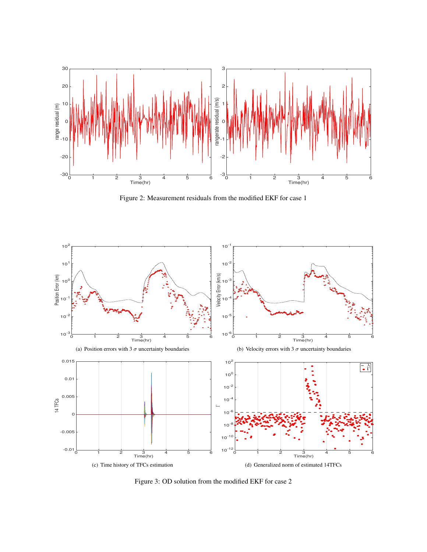

<span id="page-5-0"></span>Figure 2: Measurement residuals from the modified EKF for case 1



<span id="page-5-2"></span><span id="page-5-1"></span>Figure 3: OD solution from the modified EKF for case 2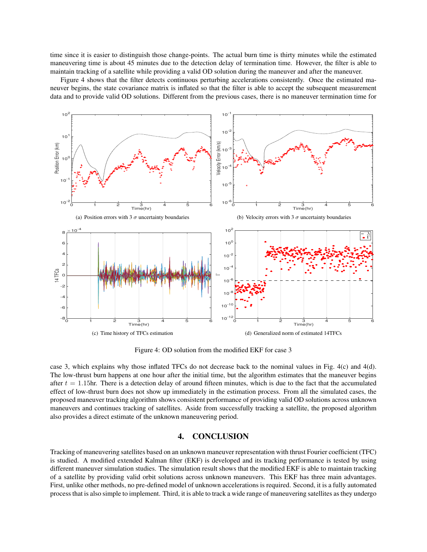time since it is easier to distinguish those change-points. The actual burn time is thirty minutes while the estimated maneuvering time is about 45 minutes due to the detection delay of termination time. However, the filter is able to maintain tracking of a satellite while providing a valid OD solution during the maneuver and after the maneuver.

Figure [4](#page-6-0) shows that the filter detects continuous perturbing accelerations consistently. Once the estimated maneuver begins, the state covariance matrix is inflated so that the filter is able to accept the subsequent measurement data and to provide valid OD solutions. Different from the previous cases, there is no maneuver termination time for



<span id="page-6-2"></span><span id="page-6-0"></span>Figure 4: OD solution from the modified EKF for case 3

<span id="page-6-1"></span>case 3, which explains why those inflated TFCs do not decrease back to the nominal values in Fig. [4\(c\)](#page-6-1) and [4\(d\).](#page-6-2) The low-thrust burn happens at one hour after the initial time, but the algorithm estimates that the maneuver begins after  $t = 1.15$ hr. There is a detection delay of around fifteen minutes, which is due to the fact that the accumulated effect of low-thrust burn does not show up immediately in the estimation process. From all the simulated cases, the proposed maneuver tracking algorithm shows consistent performance of providing valid OD solutions across unknown maneuvers and continues tracking of satellites. Aside from successfully tracking a satellite, the proposed algorithm also provides a direct estimate of the unknown maneuvering period.

## 4. CONCLUSION

Tracking of maneuvering satellites based on an unknown maneuver representation with thrust Fourier coefficient (TFC) is studied. A modified extended Kalman filter (EKF) is developed and its tracking performance is tested by using different maneuver simulation studies. The simulation result shows that the modified EKF is able to maintain tracking of a satellite by providing valid orbit solutions across unknown maneuvers. This EKF has three main advantages. First, unlike other methods, no pre-defined model of unknown accelerations is required. Second, it is a fully automated process that is also simple to implement. Third, it is able to track a wide range of maneuvering satellites as they undergo